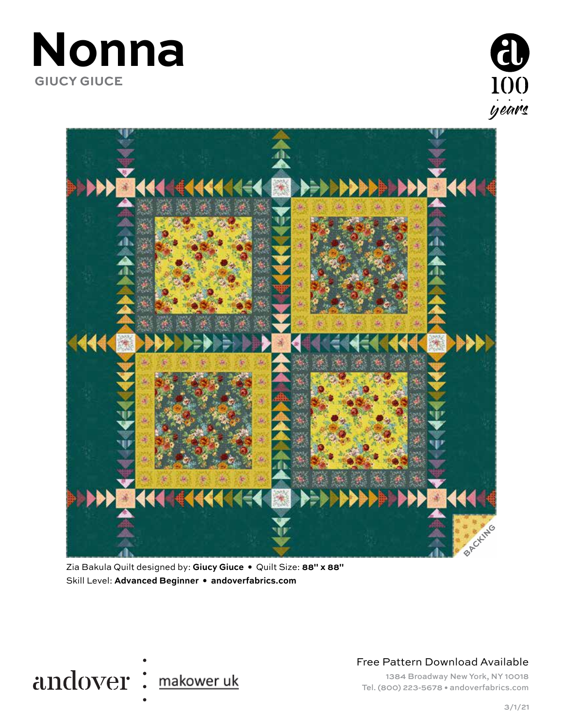





Zia Bakula Quilt designed by: **Giucy Giuce •** Quilt Size: **88" x 88"** Skill Level: **Advanced Beginner • andoverfabrics.com**



Free Pattern Download Available

1384 Broadway New York, NY 10018 Tel. (800) 223-5678 • andoverfabrics.com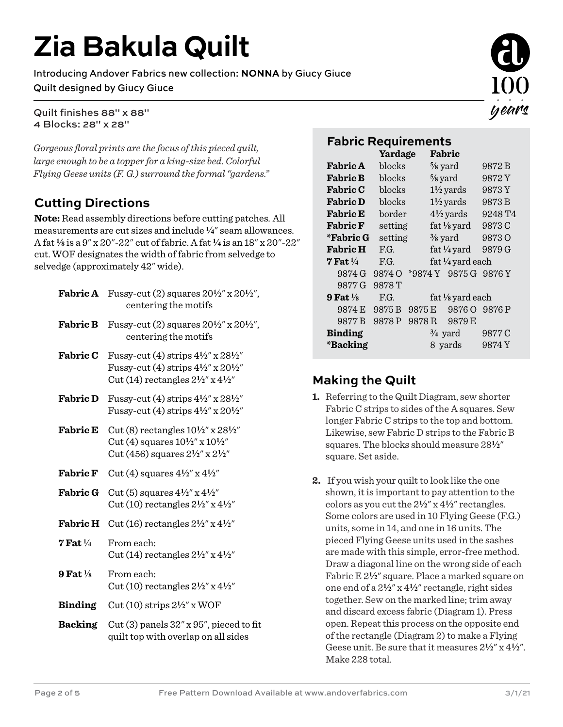# **Zia Bakula Quilt**

Introducing Andover Fabrics new collection: **NONNA** by Giucy Giuce Quilt designed by Giucy Giuce

Quilt finishes 88" x 88" 4 Blocks: 28" x 28"

*Gorgeous floral prints are the focus of this pieced quilt, large enough to be a topper for a king-size bed. Colorful Flying Geese units (F. G.) surround the formal "gardens."* 

## **Cutting Directions**

**Note:** Read assembly directions before cutting patches. All measurements are cut sizes and include **4**" seam allowances. A fat **8** is a 9" x 20"-22" cut of fabric. A fat **4** is an 18" x 20"-22" cut. WOF designates the width of fabric from selvedge to selvedge (approximately 42" wide).

| <b>Fabric A</b>       | Fussy-cut (2) squares $20\frac{1}{2}$ x $20\frac{1}{2}$ ",<br>centering the motifs                                                                                            |  |  |  |  |
|-----------------------|-------------------------------------------------------------------------------------------------------------------------------------------------------------------------------|--|--|--|--|
| <b>Fabric B</b>       | Fussy-cut (2) squares $20\frac{1}{2}$ x $20\frac{1}{2}$ ",<br>centering the motifs                                                                                            |  |  |  |  |
| <b>Fabric C</b>       | Fussy-cut (4) strips $4\frac{1}{2}$ x $28\frac{1}{2}$<br>Fussy-cut (4) strips $4\frac{1}{2}$ " x $20\frac{1}{2}$ "<br>Cut (14) rectangles $2\frac{1}{2}$ " x $4\frac{1}{2}$ " |  |  |  |  |
| <b>Fabric D</b>       | Fussy-cut (4) strips $4\frac{1}{2}$ " x $28\frac{1}{2}$ "<br>Fussy-cut (4) strips $4\frac{1}{2}$ " x $20\frac{1}{2}$ "                                                        |  |  |  |  |
| <b>Fabric E</b>       | Cut (8) rectangles $10\frac{1}{2}$ " x $28\frac{1}{2}$ "<br>Cut (4) squares $10\frac{1}{2}$ x $10\frac{1}{2}$ "<br>Cut (456) squares $2\frac{1}{2}$ x $2\frac{1}{2}$ "        |  |  |  |  |
| <b>Fabric F</b>       | Cut (4) squares $4\frac{1}{2}$ x $4\frac{1}{2}$                                                                                                                               |  |  |  |  |
| <b>Fabric G</b>       | Cut (5) squares $4\frac{1}{2}$ x $4\frac{1}{2}$<br>Cut (10) rectangles $2\frac{1}{2}$ x $4\frac{1}{2}$ "                                                                      |  |  |  |  |
| <b>Fabric H</b>       | Cut (16) rectangles $2\frac{1}{2}$ " x $4\frac{1}{2}$ "                                                                                                                       |  |  |  |  |
| $7$ Fat $\frac{1}{4}$ | From each:<br>Cut (14) rectangles $2\frac{1}{2}$ " x $4\frac{1}{2}$ "                                                                                                         |  |  |  |  |
| $9$ Fat $\frac{1}{8}$ | From each:<br>Cut (10) rectangles $2\frac{1}{2}$ " x $4\frac{1}{2}$ "                                                                                                         |  |  |  |  |
| <b>Binding</b>        | Cut (10) strips $2\frac{1}{2}$ " x WOF                                                                                                                                        |  |  |  |  |
| <b>Backing</b>        | Cut $(3)$ panels $32''$ x $95''$ , pieced to fit<br>quilt top with overlap on all sides                                                                                       |  |  |  |  |



## **Fabric Requirements**

|                       | Yardage |                   | Fabric               |                        |         |  |
|-----------------------|---------|-------------------|----------------------|------------------------|---------|--|
| <b>Fabric A</b>       | blocks  |                   | $\frac{5}{8}$ yard   |                        | 9872 B  |  |
| <b>Fabric B</b>       | blocks  |                   | $\frac{5}{8}$ yard   |                        | 9872Y   |  |
| <b>Fabric C</b>       | blocks  |                   | $1\frac{1}{2}$ yards |                        | 9873Y   |  |
| <b>Fabric D</b>       | blocks  |                   | $1\frac{1}{2}$ yards |                        | 9873 B  |  |
| <b>Fabric E</b>       | border  |                   | $4\frac{1}{2}$ yards |                        | 9248 T4 |  |
| <b>Fabric F</b>       | setting |                   |                      | fat $\frac{1}{8}$ yard | 9873C   |  |
| *Fabric G             | setting |                   | $\frac{3}{8}$ yard   |                        | 98730   |  |
| <b>Fabric H</b>       | F.G.    |                   |                      | fat $\frac{1}{4}$ yard | 9879 G  |  |
| $7$ Fat $\frac{1}{4}$ | F.G.    |                   |                      | fat 1/4 yard each      |         |  |
| 9874 G                | 9874 O  |                   |                      | *9874 Y 9875 G         | 9876 Y  |  |
| 9877 G                | 9878T   |                   |                      |                        |         |  |
| 9 Fat $\frac{1}{8}$   | F.G.    | fat 1/8 yard each |                      |                        |         |  |
| 9874 E                | 9875 B  | 9875 E            |                      | 9876 O                 | 9876 P  |  |
| 9877 B                | 9878 P  | 9878R             |                      | 9879 E                 |         |  |
| <b>Binding</b>        |         |                   |                      | $\frac{3}{4}$ yard     | 9877 C  |  |
| *Backing              |         |                   |                      | 8 yards                | 9874 Y  |  |
|                       |         |                   |                      |                        |         |  |

## **Making the Quilt**

- **1.** Referring to the Quilt Diagram, sew shorter Fabric C strips to sides of the A squares. Sew longer Fabric C strips to the top and bottom. Likewise, sew Fabric D strips to the Fabric B squares. The blocks should measure 28**2**" square. Set aside.
- **2.** If you wish your quilt to look like the one shown, it is important to pay attention to the colors as you cut the 2**2**" x 4**2**" rectangles. Some colors are used in 10 Flying Geese (F.G.) units, some in 14, and one in 16 units. The pieced Flying Geese units used in the sashes are made with this simple, error-free method. Draw a diagonal line on the wrong side of each Fabric E  $2\frac{1}{2}$ " square. Place a marked square on one end of a 2**2**" x 4**2**" rectangle, right sides together. Sew on the marked line; trim away and discard excess fabric (Diagram 1). Press open. Repeat this process on the opposite end of the rectangle (Diagram 2) to make a Flying Geese unit. Be sure that it measures 2**2**" x 4**2**". Make 228 total.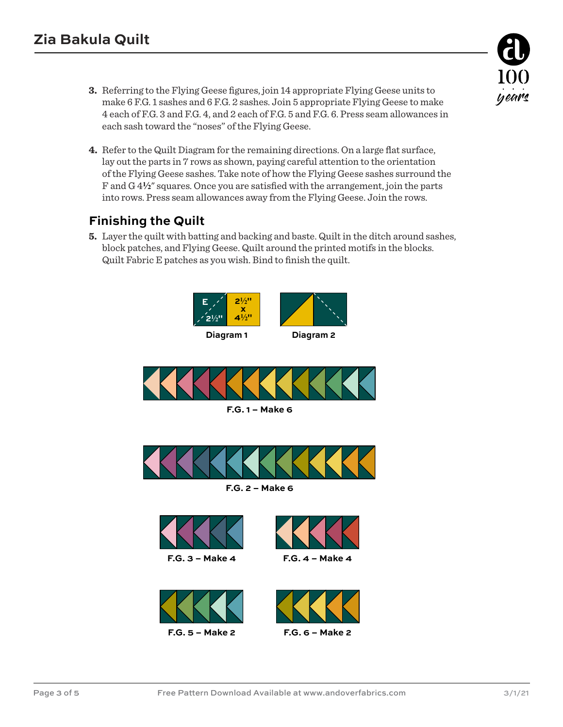- **3.** Referring to the Flying Geese figures, join 14 appropriate Flying Geese units to make 6 F.G. 1 sashes and 6 F.G. 2 sashes. Join 5 appropriate Flying Geese to make 4 each of F.G. 3 and F.G. 4, and 2 each of F.G. 5 and F.G. 6. Press seam allowances in each sash toward the "noses" of the Flying Geese.
- **4.** Refer to the Quilt Diagram for the remaining directions. On a large flat surface, lay out the parts in 7 rows as shown, paying careful attention to the orientation of the Flying Geese sashes. Take note of how the Flying Geese sashes surround the F and G 4**2**" squares. Once you are satisfied with the arrangement, join the parts into rows. Press seam allowances away from the Flying Geese. Join the rows.

#### **Finishing the Quilt**

**5.** Layer the quilt with batting and backing and baste. Quilt in the ditch around sashes, block patches, and Flying Geese. Quilt around the printed motifs in the blocks. Quilt Fabric E patches as you wish. Bind to finish the quilt.

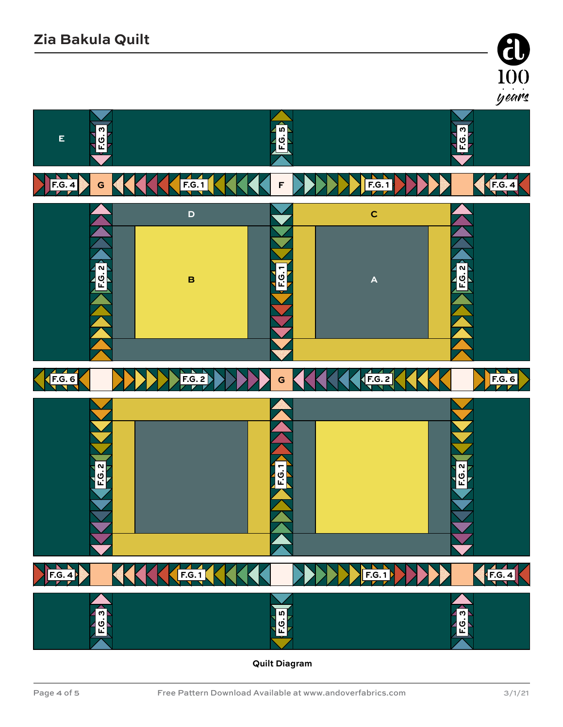



**Quilt Diagram**